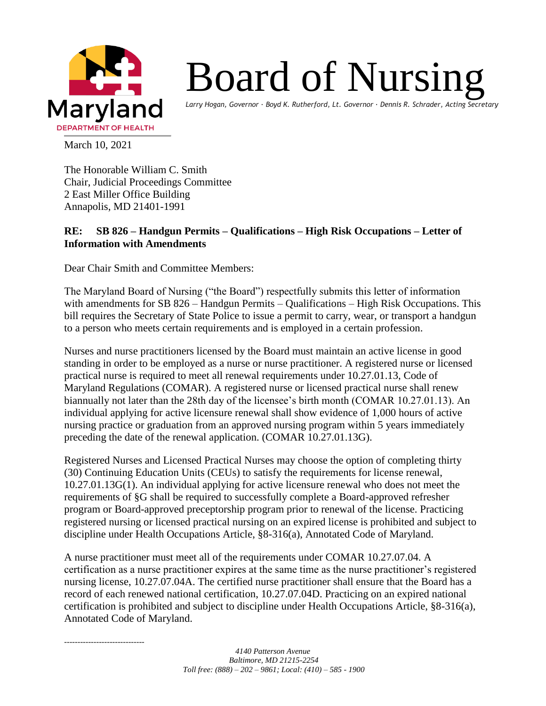

## Board of Nursing

*Larry Hogan, Governor ∙ Boyd K. Rutherford, Lt. Governor ∙ Dennis R. Schrader, Acting Secretary*

March 10, 2021

The Honorable William C. Smith Chair, Judicial Proceedings Committee 2 East Miller Office Building Annapolis, MD 21401-1991

## **RE: SB 826 – Handgun Permits – Qualifications – High Risk Occupations – Letter of Information with Amendments**

Dear Chair Smith and Committee Members:

The Maryland Board of Nursing ("the Board") respectfully submits this letter of information with amendments for SB 826 – Handgun Permits – Qualifications – High Risk Occupations. This bill requires the Secretary of State Police to issue a permit to carry, wear, or transport a handgun to a person who meets certain requirements and is employed in a certain profession.

Nurses and nurse practitioners licensed by the Board must maintain an active license in good standing in order to be employed as a nurse or nurse practitioner. A registered nurse or licensed practical nurse is required to meet all renewal requirements under 10.27.01.13, Code of Maryland Regulations (COMAR). A registered nurse or licensed practical nurse shall renew biannually not later than the 28th day of the licensee's birth month (COMAR 10.27.01.13). An individual applying for active licensure renewal shall show evidence of 1,000 hours of active nursing practice or graduation from an approved nursing program within 5 years immediately preceding the date of the renewal application. (COMAR 10.27.01.13G).

Registered Nurses and Licensed Practical Nurses may choose the option of completing thirty (30) Continuing Education Units (CEUs) to satisfy the requirements for license renewal, 10.27.01.13G(1). An individual applying for active licensure renewal who does not meet the requirements of §G shall be required to successfully complete a Board-approved refresher program or Board-approved preceptorship program prior to renewal of the license. Practicing registered nursing or licensed practical nursing on an expired license is prohibited and subject to discipline under Health Occupations Article, §8-316(a), Annotated Code of Maryland.

A nurse practitioner must meet all of the requirements under COMAR 10.27.07.04. A certification as a nurse practitioner expires at the same time as the nurse practitioner's registered nursing license, 10.27.07.04A. The certified nurse practitioner shall ensure that the Board has a record of each renewed national certification, 10.27.07.04D. Practicing on an expired national certification is prohibited and subject to discipline under Health Occupations Article, §8-316(a), Annotated Code of Maryland.